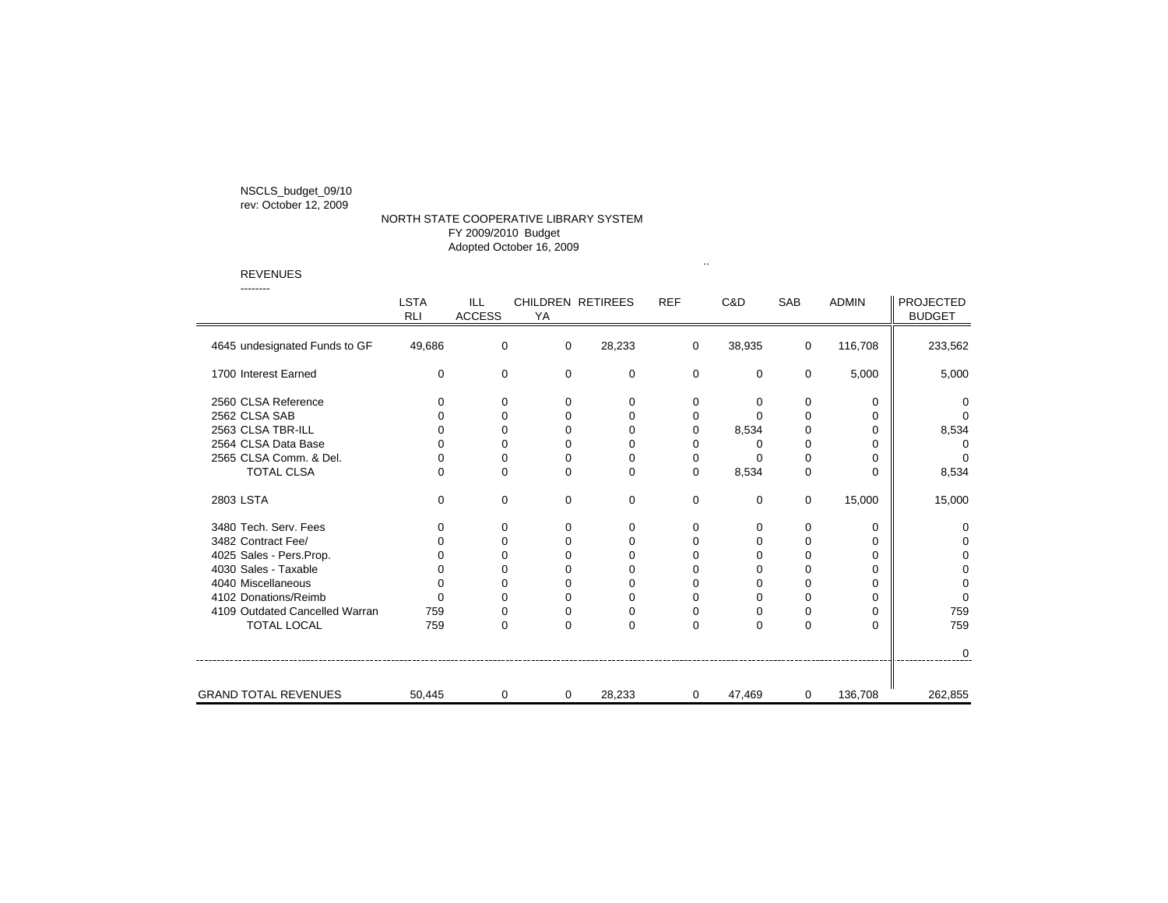NSCLS\_budget\_09/10

## rev: October 12, 2009

## NORTH STATE COOPERATIVE LIBRARY SYSTEM FY 2009/2010 Budget Adopted October 16, 2009

REVENUES

| -------                        | <b>LSTA</b><br><b>RLI</b> | ILL<br><b>ACCESS</b> | YA       | <b>CHILDREN RETIREES</b> | <b>REF</b>  | C&D      | <b>SAB</b>  | <b>ADMIN</b> | <b>PROJECTED</b><br><b>BUDGET</b> |
|--------------------------------|---------------------------|----------------------|----------|--------------------------|-------------|----------|-------------|--------------|-----------------------------------|
| 4645 undesignated Funds to GF  | 49,686                    | 0                    | 0        | 28,233                   | 0           | 38,935   | 0           | 116,708      | 233,562                           |
| 1700 Interest Earned           | 0                         | 0                    | 0        | 0                        | $\mathbf 0$ | 0        | 0           | 5,000        | 5,000                             |
| 2560 CLSA Reference            | 0                         | 0                    | 0        | $\mathbf 0$              | 0           | 0        | 0           | $\Omega$     | $\Omega$                          |
| 2562 CLSA SAB                  | 0                         | $\Omega$             | $\Omega$ | $\Omega$                 | 0           | $\Omega$ | $\Omega$    | $\Omega$     | $\Omega$                          |
| 2563 CLSA TBR-ILL              | 0                         | $\Omega$             | $\Omega$ | $\Omega$                 | $\Omega$    | 8,534    | $\Omega$    | $\Omega$     | 8,534                             |
| 2564 CLSA Data Base            | $\Omega$                  | $\Omega$             | $\Omega$ | $\Omega$                 | 0           | 0        | $\mathbf 0$ | $\Omega$     | $\Omega$                          |
| 2565 CLSA Comm. & Del.         | $\Omega$                  | $\Omega$             | $\Omega$ | $\Omega$                 | 0           | $\Omega$ | $\Omega$    | $\Omega$     | $\Omega$                          |
| <b>TOTAL CLSA</b>              | 0                         | 0                    | 0        | $\mathbf 0$              | 0           | 8,534    | $\mathbf 0$ | $\Omega$     | 8,534                             |
| 2803 LSTA                      | $\Omega$                  | 0                    | $\Omega$ | 0                        | 0           | 0        | 0           | 15,000       | 15,000                            |
| 3480 Tech. Serv. Fees          | 0                         | 0                    | 0        | $\mathbf 0$              | 0           | 0        | $\mathbf 0$ | $\Omega$     | 0                                 |
| 3482 Contract Fee/             | U                         | $\Omega$             | $\Omega$ | $\Omega$                 | $\Omega$    | $\Omega$ | $\Omega$    | $\Omega$     | $\Omega$                          |
| 4025 Sales - Pers.Prop.        | ∩                         | 0                    | 0        | 0                        | 0           | 0        | $\mathbf 0$ | $\Omega$     | 0                                 |
| 4030 Sales - Taxable           | 0                         | 0                    | $\Omega$ | $\Omega$                 | 0           | 0        | $\Omega$    | $\Omega$     | $\Omega$                          |
| 4040 Miscellaneous             | 0                         | $\Omega$             | $\Omega$ | $\Omega$                 | $\Omega$    | $\Omega$ | $\mathbf 0$ | $\Omega$     | 0                                 |
| 4102 Donations/Reimb           | $\Omega$                  | $\Omega$             | $\Omega$ | $\Omega$                 | $\Omega$    | $\Omega$ | $\Omega$    | $\Omega$     | $\Omega$                          |
| 4109 Outdated Cancelled Warran | 759                       | 0                    | 0        | 0                        | 0           | 0        | 0           | $\Omega$     | 759                               |
| <b>TOTAL LOCAL</b>             | 759                       | $\Omega$             | $\Omega$ | $\Omega$                 | $\Omega$    | 0        | $\Omega$    | $\Omega$     | 759                               |
|                                |                           |                      |          |                          |             |          |             |              | $\Omega$                          |
| <b>GRAND TOTAL REVENUES</b>    | 50,445                    | 0                    | 0        | 28,233                   | 0           | 47,469   | 0           | 136,708      | 262,855                           |

..